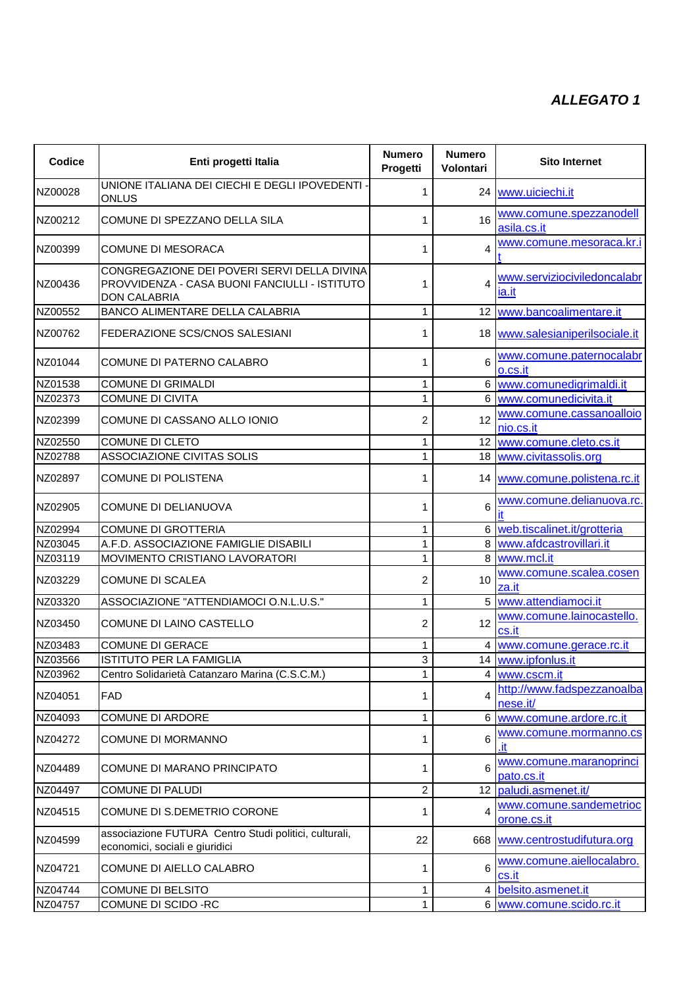## *ALLEGATO 1*

| <b>Codice</b> | Enti progetti Italia                                                                                                | <b>Numero</b><br>Progetti | <b>Numero</b><br>Volontari | <b>Sito Internet</b>                   |
|---------------|---------------------------------------------------------------------------------------------------------------------|---------------------------|----------------------------|----------------------------------------|
| NZ00028       | UNIONE ITALIANA DEI CIECHI E DEGLI IPOVEDENTI -<br>ONLUS                                                            | 1                         |                            | 24   www.uiciechi.it                   |
| NZ00212       | COMUNE DI SPEZZANO DELLA SILA                                                                                       | 1                         | 16                         | www.comune.spezzanodell<br>asila.cs.it |
| NZ00399       | <b>COMUNE DI MESORACA</b>                                                                                           | 1                         | 4                          | www.comune.mesoraca.kr.i               |
| NZ00436       | CONGREGAZIONE DEI POVERI SERVI DELLA DIVINA<br>PROVVIDENZA - CASA BUONI FANCIULLI - ISTITUTO<br><b>DON CALABRIA</b> | 1                         | 4                          | www.serviziociviledoncalabr<br>ia.it   |
| NZ00552       | BANCO ALIMENTARE DELLA CALABRIA                                                                                     | 1                         |                            | 12 www.bancoalimentare.it              |
| NZ00762       | FEDERAZIONE SCS/CNOS SALESIANI                                                                                      | 1                         |                            | 18 www.salesianiperilsociale.it        |
| NZ01044       | COMUNE DI PATERNO CALABRO                                                                                           | 1                         | 6                          | www.comune.paternocalabr<br>o.cs.it    |
| NZ01538       | <b>COMUNE DI GRIMALDI</b>                                                                                           | 1                         |                            | 6 www.comunedigrimaldi.it              |
| NZ02373       | <b>COMUNE DI CIVITA</b>                                                                                             | 1                         |                            | 6 www.comunedicivita.it                |
| NZ02399       | COMUNE DI CASSANO ALLO IONIO                                                                                        | $\overline{2}$            | 12                         | www.comune.cassanoalloio<br>nio.cs.it  |
| NZ02550       | <b>COMUNE DI CLETO</b>                                                                                              | 1                         |                            | 12 www.comune.cleto.cs.it              |
| NZ02788       | ASSOCIAZIONE CIVITAS SOLIS                                                                                          | 1                         |                            | 18 www.civitassolis.org                |
| NZ02897       | <b>COMUNE DI POLISTENA</b>                                                                                          | 1                         |                            | 14 www.comune.polistena.rc.it          |
| NZ02905       | <b>COMUNE DI DELIANUOVA</b>                                                                                         | 1                         | 6                          | www.comune.delianuova.rc.              |
| NZ02994       | <b>COMUNE DI GROTTERIA</b>                                                                                          | $\mathbf{1}$              |                            | 6 web.tiscalinet.it/grotteria          |
| NZ03045       | A.F.D. ASSOCIAZIONE FAMIGLIE DISABILI                                                                               | 1                         |                            | 8 www.afdcastrovillari.it              |
| NZ03119       | MOVIMENTO CRISTIANO LAVORATORI                                                                                      | 1                         |                            | 8 www.mcl.it                           |
| NZ03229       | <b>COMUNE DI SCALEA</b>                                                                                             | 2                         | 10                         | www.comune.scalea.cosen<br>za.it       |
| NZ03320       | ASSOCIAZIONE "ATTENDIAMOCI O.N.L.U.S."                                                                              | 1                         |                            | 5 www.attendiamoci.it                  |
| NZ03450       | COMUNE DI LAINO CASTELLO                                                                                            | 2                         | 12                         | www.comune.lainocastello.<br>cs.it     |
| NZ03483       | <b>COMUNE DI GERACE</b>                                                                                             | 1                         |                            | 4 www.comune.gerace.rc.it              |
| NZ03566       | <b>ISTITUTO PER LA FAMIGLIA</b>                                                                                     | 3                         |                            | 14 www.ipfonlus.it                     |
| NZ03962       | Centro Solidarietà Catanzaro Marina (C.S.C.M.)                                                                      | $\mathbf{1}$              |                            | 4 www.cscm.it                          |
| NZ04051       | <b>FAD</b>                                                                                                          | 1                         | 4                          | http://www.fadspezzanoalba<br>nese.it/ |
| NZ04093       | <b>COMUNE DI ARDORE</b>                                                                                             | $\mathbf{1}$              |                            | 6 www.comune.ardore.rc.it              |
| NZ04272       | COMUNE DI MORMANNO                                                                                                  | 1                         | 6                          | www.comune.mormanno.cs                 |
| NZ04489       | COMUNE DI MARANO PRINCIPATO                                                                                         | 1                         | 6                          | www.comune.maranoprinci<br>pato.cs.it  |
| NZ04497       | COMUNE DI PALUDI                                                                                                    | $\overline{c}$            |                            | 12 paludi.asmenet.it/                  |
| NZ04515       | COMUNE DI S.DEMETRIO CORONE                                                                                         | 1                         | 4                          | www.comune.sandemetrioc<br>orone.cs.it |
| NZ04599       | associazione FUTURA Centro Studi politici, culturali,<br>economici, sociali e giuridici                             | 22                        |                            | 668 www.centrostudifutura.org          |
| NZ04721       | COMUNE DI AIELLO CALABRO                                                                                            | 1                         | 6                          | www.comune.aiellocalabro.<br>cs.it     |
| NZ04744       | COMUNE DI BELSITO                                                                                                   | 1                         |                            | 4 belsito.asmenet.it                   |
| NZ04757       | COMUNE DI SCIDO -RC                                                                                                 | 1                         |                            | 6 www.comune.scido.rc.it               |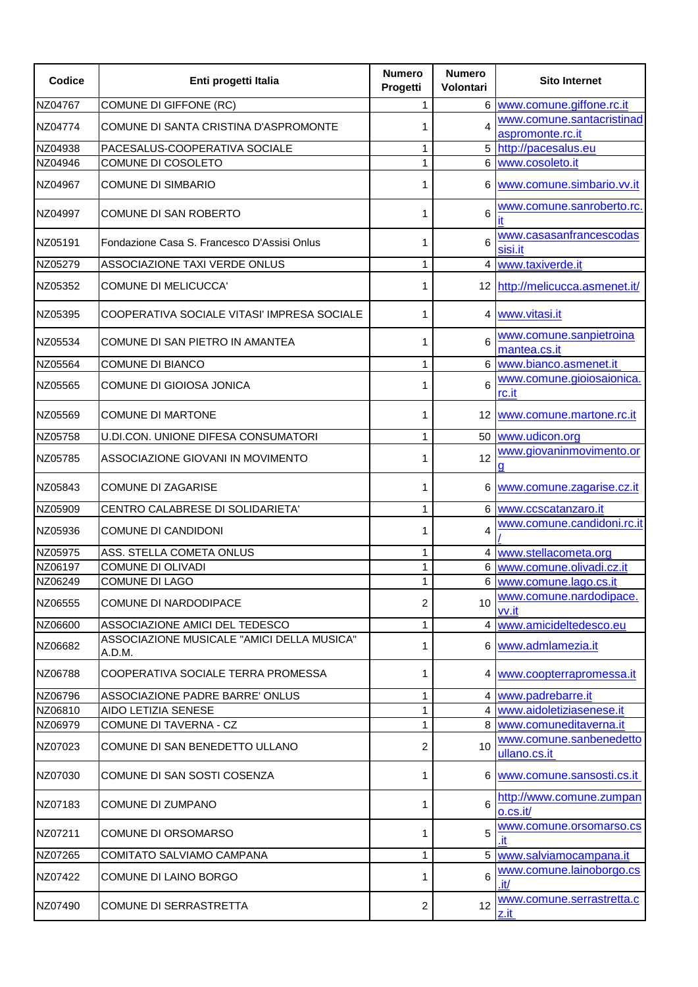| Codice             | Enti progetti Italia                                                         | <b>Numero</b><br>Progetti | <b>Numero</b><br>Volontari | <b>Sito Internet</b>                               |
|--------------------|------------------------------------------------------------------------------|---------------------------|----------------------------|----------------------------------------------------|
| NZ04767            | COMUNE DI GIFFONE (RC)                                                       | 1                         |                            | 6 www.comune.giffone.rc.it                         |
| NZ04774            | COMUNE DI SANTA CRISTINA D'ASPROMONTE                                        |                           | 4                          | www.comune.santacristinad<br>aspromonte.rc.it      |
| NZ04938            | PACESALUS-COOPERATIVA SOCIALE                                                | 1                         |                            | 5 http://pacesalus.eu                              |
| NZ04946            | COMUNE DI COSOLETO                                                           | 1                         | 6                          | www.cosoleto.it                                    |
| NZ04967            | <b>COMUNE DI SIMBARIO</b>                                                    |                           | 6                          | www.comune.simbario.vv.it                          |
| NZ04997            | COMUNE DI SAN ROBERTO                                                        | 1                         | 6                          | www.comune.sanroberto.rc.<br>it                    |
| NZ05191            | Fondazione Casa S. Francesco D'Assisi Onlus                                  | 1                         | 6                          | www.casasanfrancescodas<br>sisi.it                 |
| NZ05279            | ASSOCIAZIONE TAXI VERDE ONLUS                                                | 1                         |                            | 4 www.taxiverde.it                                 |
| NZ05352            | COMUNE DI MELICUCCA'                                                         | 1                         |                            | 12 http://melicucca.asmenet.it/                    |
| NZ05395            | COOPERATIVA SOCIALE VITASI' IMPRESA SOCIALE                                  | 1                         |                            | 4 www.vitasi.it                                    |
| NZ05534            | COMUNE DI SAN PIETRO IN AMANTEA                                              | 1                         | 6                          | www.comune.sanpietroina<br>mantea.cs.it            |
| NZ05564            | COMUNE DI BIANCO                                                             | 1                         |                            | 6 www.bianco.asmenet.it                            |
| NZ05565            | COMUNE DI GIOIOSA JONICA                                                     | 1                         | 6                          | www.comune.gioiosaionica.<br>rc.it                 |
| NZ05569            | <b>COMUNE DI MARTONE</b>                                                     | 1                         | 12 <sub>1</sub>            | www.comune.martone.rc.it                           |
| NZ05758            | U.DI.CON. UNIONE DIFESA CONSUMATORI                                          | 1                         | 50 <sub>1</sub>            | www.udicon.org                                     |
| NZ05785            | ASSOCIAZIONE GIOVANI IN MOVIMENTO                                            | 1                         | 12                         | www.giovaninmovimento.or                           |
| NZ05843            | <b>COMUNE DI ZAGARISE</b>                                                    | 1                         | 6                          | www.comune.zagarise.cz.it                          |
| NZ05909            | CENTRO CALABRESE DI SOLIDARIETA'                                             | 1                         |                            | 6 www.ccscatanzaro.it                              |
| NZ05936            | <b>COMUNE DI CANDIDONI</b>                                                   | 1                         | 4                          | www.comune.candidoni.rc.it                         |
| NZ05975            | ASS. STELLA COMETA ONLUS                                                     | 1                         |                            | 4 www.stellacometa.org                             |
| NZ06197            | <b>COMUNE DI OLIVADI</b>                                                     | 1                         |                            | 6 www.comune.olivadi.cz.it                         |
| NZ06249            | COMUNE DI LAGO                                                               | 1                         |                            | 6 www.comune.lago.cs.it<br>www.comune.nardodipace. |
| NZ06555            | COMUNE DI NARDODIPACE                                                        | $\overline{2}$            | 10                         | vv.it                                              |
| NZ06600            | ASSOCIAZIONE AMICI DEL TEDESCO<br>ASSOCIAZIONE MUSICALE "AMICI DELLA MUSICA" | 1                         |                            | 4 www.amicideltedesco.eu                           |
| NZ06682            | A.D.M.                                                                       | 1                         |                            | 6 www.admlamezia.it                                |
| NZ06788            | COOPERATIVA SOCIALE TERRA PROMESSA                                           | 1                         |                            | 4   www.coopterrapromessa.it                       |
| NZ06796<br>NZ06810 | ASSOCIAZIONE PADRE BARRE' ONLUS<br>AIDO LETIZIA SENESE                       | 1<br>1                    |                            | 4 www.padrebarre.it<br>4 www.aidoletiziasenese.it  |
| NZ06979            | COMUNE DI TAVERNA - CZ                                                       | 1                         |                            | 8 www.comuneditaverna.it                           |
| NZ07023            | COMUNE DI SAN BENEDETTO ULLANO                                               | 2                         | 10                         | www.comune.sanbenedetto<br>ullano.cs.it            |
| NZ07030            | COMUNE DI SAN SOSTI COSENZA                                                  | 1                         |                            | 6 www.comune.sansosti.cs.it                        |
| NZ07183            | COMUNE DI ZUMPANO                                                            | 1                         | 6                          | http://www.comune.zumpan<br>o.cs.it/               |
| NZ07211            | COMUNE DI ORSOMARSO                                                          | 1                         | 5                          | www.comune.orsomarso.cs                            |
| NZ07265            | COMITATO SALVIAMO CAMPANA                                                    | 1                         |                            | 5 www.salviamocampana.it                           |
| NZ07422            | COMUNE DI LAINO BORGO                                                        | 1                         | 6                          | www.comune.lainoborgo.cs<br>.it/                   |
| NZ07490            | COMUNE DI SERRASTRETTA                                                       | $\overline{2}$            | 12                         | www.comune.serrastretta.c<br>z.it                  |